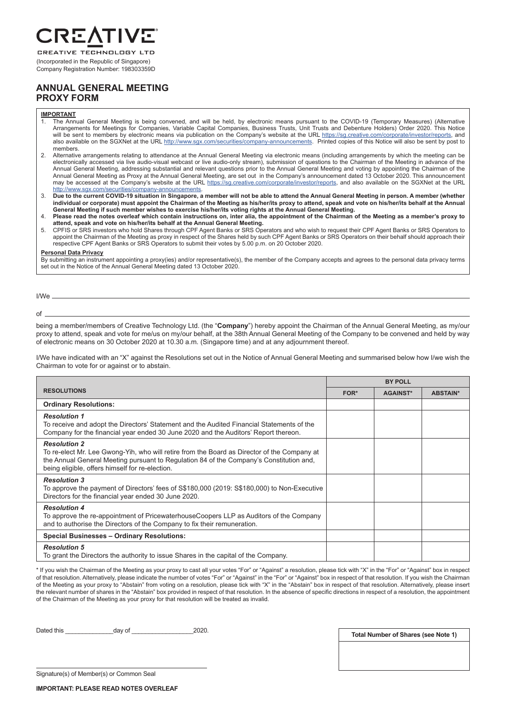

Company Registration Number: 198303359D

## **ANNUAL GENERAL MEETING PROXY FORM**

### **IMPORTANT**

- 1. The Annual General Meeting is being convened, and will be held, by electronic means pursuant to the COVID-19 (Temporary Measures) (Alternative Arrangements for Meetings for Companies, Variable Capital Companies, Business Trusts, Unit Trusts and Debenture Holders) Order 2020. This Notice will be sent to members by electronic means via publication on the Company's website at the URL https://sg.creative.com/corporate/investor/reports, and also available on the SGXNet at the URL http://www.sgx.com/securities/company-announcements. Printed copies of this Notice will also be sent by post to members.
- 2. Alternative arrangements relating to attendance at the Annual General Meeting via electronic means (including arrangements by which the meeting can be electronically accessed via live audio-visual webcast or live audio-only stream), submission of questions to the Chairman of the Meeting in advance of the Annual General Meeting, addressing substantial and relevant questions prior to the Annual General Meeting and voting by appointing the Chairman of the Annual General Meeting as Proxy at the Annual General Meeting, are set out in the Company's announcement dated 13 October 2020. This announcement may be accessed at the Company's website at the URL https://sg.creative.com/corporate/investor/reports, and also available on the SGXNet at the URL http://www.sgx.com/securities/company-announcements.
- 3. **Due to the current COVID-19 situation in Singapore, a member will not be able to attend the Annual General Meeting in person. A member (whether**  individual or corporate) must appoint the Chairman of the Meeting as his/her/its proxy to attend, speak and vote on his/her/its behalf at the Annual **General Meeting if such member wishes to exercise his/her/its voting rights at the Annual General Meeting.**
- 4. **Please read the notes overleaf which contain instructions on, inter alia, the appointment of the Chairman of the Meeting as a member's proxy to attend, speak and vote on his/her/its behalf at the Annual General Meeting.**
- 5. CPFIS or SRS investors who hold Shares through CPF Agent Banks or SRS Operators and who wish to request their CPF Agent Banks or SRS Operators to appoint the Chairman of the Meeting as proxy in respect of the Shares held by such CPF Agent Banks or SRS Operators on their behalf should approach their respective CPF Agent Banks or SRS Operators to submit their votes by 5.00 p.m. on 20 October 2020.

### **Personal Data Privacy**

By submitting an instrument appointing a proxy(ies) and/or representative(s), the member of the Company accepts and agrees to the personal data privacy terms set out in the Notice of the Annual General Meeting dated 13 October 2020.

I/We

of

being a member/members of Creative Technology Ltd. (the "**Company**") hereby appoint the Chairman of the Annual General Meeting, as my/our proxy to attend, speak and vote for me/us on my/our behalf, at the 38th Annual General Meeting of the Company to be convened and held by way of electronic means on 30 October 2020 at 10.30 a.m. (Singapore time) and at any adjournment thereof.

I/We have indicated with an "X" against the Resolutions set out in the Notice of Annual General Meeting and summarised below how I/we wish the Chairman to vote for or against or to abstain.

|                                                                                                                                                                                                                                                                  | <b>BY POLL</b> |                 |                 |
|------------------------------------------------------------------------------------------------------------------------------------------------------------------------------------------------------------------------------------------------------------------|----------------|-----------------|-----------------|
| <b>RESOLUTIONS</b>                                                                                                                                                                                                                                               | FOR*           | <b>AGAINST*</b> | <b>ABSTAIN*</b> |
| <b>Ordinary Resolutions:</b>                                                                                                                                                                                                                                     |                |                 |                 |
| <b>Resolution 1</b><br>To receive and adopt the Directors' Statement and the Audited Financial Statements of the<br>Company for the financial year ended 30 June 2020 and the Auditors' Report thereon.                                                          |                |                 |                 |
| <b>Resolution 2</b><br>To re-elect Mr. Lee Gwong-Yih, who will retire from the Board as Director of the Company at<br>the Annual General Meeting pursuant to Regulation 84 of the Company's Constitution and,<br>being eligible, offers himself for re-election. |                |                 |                 |
| <b>Resolution 3</b><br>To approve the payment of Directors' fees of S\$180,000 (2019: S\$180,000) to Non-Executive<br>Directors for the financial year ended 30 June 2020.                                                                                       |                |                 |                 |
| <b>Resolution 4</b><br>To approve the re-appointment of PricewaterhouseCoopers LLP as Auditors of the Company<br>and to authorise the Directors of the Company to fix their remuneration.                                                                        |                |                 |                 |
| <b>Special Businesses - Ordinary Resolutions:</b>                                                                                                                                                                                                                |                |                 |                 |
| <b>Resolution 5</b><br>To grant the Directors the authority to issue Shares in the capital of the Company.                                                                                                                                                       |                |                 |                 |

\* If you wish the Chairman of the Meeting as your proxy to cast all your votes "For" or "Against" a resolution, please tick with "X" in the "For" or "Against" box in respect of that resolution. Alternatively, please indicate the number of votes "For" or "Against" in the "For" or "Against" box in respect of that resolution. If you wish the Chairman of the Meeting as your proxy to "Abstain" from voting on a resolution, please tick with "X" in the "Abstain" box in respect of that resolution. Alternatively, please insert the relevant number of shares in the "Abstain" box provided in respect of that resolution. In the absence of specific directions in respect of a resolution, the appointment of the Chairman of the Meeting as your proxy for that resolution will be treated as invalid.

Dated this \_\_\_\_\_\_\_\_\_\_\_\_\_\_day of \_\_\_\_\_\_\_\_\_\_\_\_\_\_\_\_\_\_2020.

**Total Number of Shares (see Note 1)**

Signature(s) of Member(s) or Common Seal